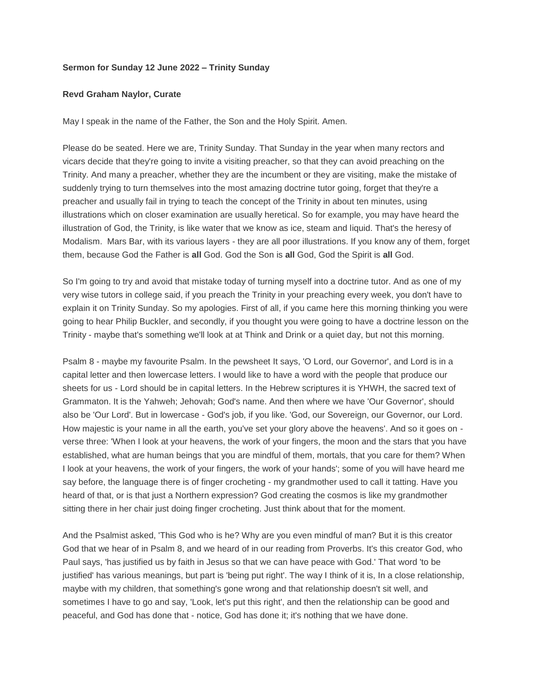## **Sermon for Sunday 12 June 2022 – Trinity Sunday**

## **Revd Graham Naylor, Curate**

May I speak in the name of the Father, the Son and the Holy Spirit. Amen.

Please do be seated. Here we are, Trinity Sunday. That Sunday in the year when many rectors and vicars decide that they're going to invite a visiting preacher, so that they can avoid preaching on the Trinity. And many a preacher, whether they are the incumbent or they are visiting, make the mistake of suddenly trying to turn themselves into the most amazing doctrine tutor going, forget that they're a preacher and usually fail in trying to teach the concept of the Trinity in about ten minutes, using illustrations which on closer examination are usually heretical. So for example, you may have heard the illustration of God, the Trinity, is like water that we know as ice, steam and liquid. That's the heresy of Modalism. Mars Bar, with its various layers - they are all poor illustrations. If you know any of them, forget them, because God the Father is **all** God. God the Son is **all** God, God the Spirit is **all** God.

So I'm going to try and avoid that mistake today of turning myself into a doctrine tutor. And as one of my very wise tutors in college said, if you preach the Trinity in your preaching every week, you don't have to explain it on Trinity Sunday. So my apologies. First of all, if you came here this morning thinking you were going to hear Philip Buckler, and secondly, if you thought you were going to have a doctrine lesson on the Trinity - maybe that's something we'll look at at Think and Drink or a quiet day, but not this morning.

Psalm 8 - maybe my favourite Psalm. In the pewsheet It says, 'O Lord, our Governor', and Lord is in a capital letter and then lowercase letters. I would like to have a word with the people that produce our sheets for us - Lord should be in capital letters. In the Hebrew scriptures it is YHWH, the sacred text of Grammaton. It is the Yahweh; Jehovah; God's name. And then where we have 'Our Governor', should also be 'Our Lord'. But in lowercase - God's job, if you like. 'God, our Sovereign, our Governor, our Lord. How majestic is your name in all the earth, you've set your glory above the heavens'. And so it goes on verse three: 'When I look at your heavens, the work of your fingers, the moon and the stars that you have established, what are human beings that you are mindful of them, mortals, that you care for them? When I look at your heavens, the work of your fingers, the work of your hands'; some of you will have heard me say before, the language there is of finger crocheting - my grandmother used to call it tatting. Have you heard of that, or is that just a Northern expression? God creating the cosmos is like my grandmother sitting there in her chair just doing finger crocheting. Just think about that for the moment.

And the Psalmist asked, 'This God who is he? Why are you even mindful of man? But it is this creator God that we hear of in Psalm 8, and we heard of in our reading from Proverbs. It's this creator God, who Paul says, 'has justified us by faith in Jesus so that we can have peace with God.' That word 'to be justified' has various meanings, but part is 'being put right'. The way I think of it is, In a close relationship, maybe with my children, that something's gone wrong and that relationship doesn't sit well, and sometimes I have to go and say, 'Look, let's put this right', and then the relationship can be good and peaceful, and God has done that - notice, God has done it; it's nothing that we have done.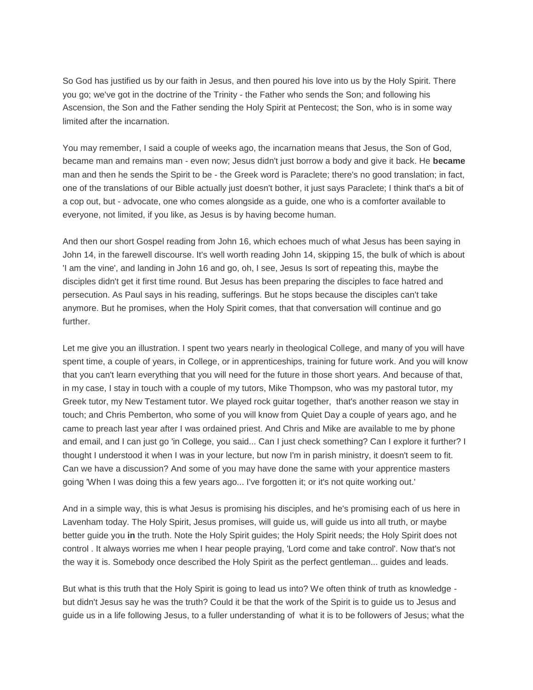So God has justified us by our faith in Jesus, and then poured his love into us by the Holy Spirit. There you go; we've got in the doctrine of the Trinity - the Father who sends the Son; and following his Ascension, the Son and the Father sending the Holy Spirit at Pentecost; the Son, who is in some way limited after the incarnation.

You may remember, I said a couple of weeks ago, the incarnation means that Jesus, the Son of God, became man and remains man - even now; Jesus didn't just borrow a body and give it back. He **became**  man and then he sends the Spirit to be - the Greek word is Paraclete; there's no good translation; in fact, one of the translations of our Bible actually just doesn't bother, it just says Paraclete; I think that's a bit of a cop out, but - advocate, one who comes alongside as a guide, one who is a comforter available to everyone, not limited, if you like, as Jesus is by having become human.

And then our short Gospel reading from John 16, which echoes much of what Jesus has been saying in John 14, in the farewell discourse. It's well worth reading John 14, skipping 15, the bulk of which is about 'I am the vine', and landing in John 16 and go, oh, I see, Jesus Is sort of repeating this, maybe the disciples didn't get it first time round. But Jesus has been preparing the disciples to face hatred and persecution. As Paul says in his reading, sufferings. But he stops because the disciples can't take anymore. But he promises, when the Holy Spirit comes, that that conversation will continue and go further.

Let me give you an illustration. I spent two years nearly in theological College, and many of you will have spent time, a couple of years, in College, or in apprenticeships, training for future work. And you will know that you can't learn everything that you will need for the future in those short years. And because of that, in my case, I stay in touch with a couple of my tutors, Mike Thompson, who was my pastoral tutor, my Greek tutor, my New Testament tutor. We played rock guitar together, that's another reason we stay in touch; and Chris Pemberton, who some of you will know from Quiet Day a couple of years ago, and he came to preach last year after I was ordained priest. And Chris and Mike are available to me by phone and email, and I can just go 'in College, you said... Can I just check something? Can I explore it further? I thought I understood it when I was in your lecture, but now I'm in parish ministry, it doesn't seem to fit. Can we have a discussion? And some of you may have done the same with your apprentice masters going 'When I was doing this a few years ago... I've forgotten it; or it's not quite working out.'

And in a simple way, this is what Jesus is promising his disciples, and he's promising each of us here in Lavenham today. The Holy Spirit, Jesus promises, will guide us, will guide us into all truth, or maybe better guide you **in** the truth. Note the Holy Spirit guides; the Holy Spirit needs; the Holy Spirit does not control . It always worries me when I hear people praying, 'Lord come and take control'. Now that's not the way it is. Somebody once described the Holy Spirit as the perfect gentleman... guides and leads.

But what is this truth that the Holy Spirit is going to lead us into? We often think of truth as knowledge but didn't Jesus say he was the truth? Could it be that the work of the Spirit is to guide us to Jesus and guide us in a life following Jesus, to a fuller understanding of what it is to be followers of Jesus; what the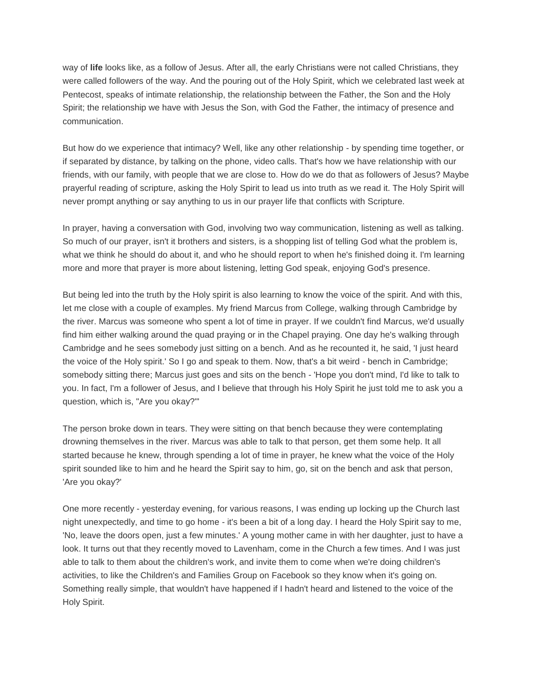way of **life** looks like, as a follow of Jesus. After all, the early Christians were not called Christians, they were called followers of the way. And the pouring out of the Holy Spirit, which we celebrated last week at Pentecost, speaks of intimate relationship, the relationship between the Father, the Son and the Holy Spirit; the relationship we have with Jesus the Son, with God the Father, the intimacy of presence and communication.

But how do we experience that intimacy? Well, like any other relationship - by spending time together, or if separated by distance, by talking on the phone, video calls. That's how we have relationship with our friends, with our family, with people that we are close to. How do we do that as followers of Jesus? Maybe prayerful reading of scripture, asking the Holy Spirit to lead us into truth as we read it. The Holy Spirit will never prompt anything or say anything to us in our prayer life that conflicts with Scripture.

In prayer, having a conversation with God, involving two way communication, listening as well as talking. So much of our prayer, isn't it brothers and sisters, is a shopping list of telling God what the problem is, what we think he should do about it, and who he should report to when he's finished doing it. I'm learning more and more that prayer is more about listening, letting God speak, enjoying God's presence.

But being led into the truth by the Holy spirit is also learning to know the voice of the spirit. And with this, let me close with a couple of examples. My friend Marcus from College, walking through Cambridge by the river. Marcus was someone who spent a lot of time in prayer. If we couldn't find Marcus, we'd usually find him either walking around the quad praying or in the Chapel praying. One day he's walking through Cambridge and he sees somebody just sitting on a bench. And as he recounted it, he said, 'I just heard the voice of the Holy spirit.' So I go and speak to them. Now, that's a bit weird - bench in Cambridge; somebody sitting there; Marcus just goes and sits on the bench - 'Hope you don't mind, I'd like to talk to you. In fact, I'm a follower of Jesus, and I believe that through his Holy Spirit he just told me to ask you a question, which is, "Are you okay?"'

The person broke down in tears. They were sitting on that bench because they were contemplating drowning themselves in the river. Marcus was able to talk to that person, get them some help. It all started because he knew, through spending a lot of time in prayer, he knew what the voice of the Holy spirit sounded like to him and he heard the Spirit say to him, go, sit on the bench and ask that person, 'Are you okay?'

One more recently - yesterday evening, for various reasons, I was ending up locking up the Church last night unexpectedly, and time to go home - it's been a bit of a long day. I heard the Holy Spirit say to me, 'No, leave the doors open, just a few minutes.' A young mother came in with her daughter, just to have a look. It turns out that they recently moved to Lavenham, come in the Church a few times. And I was just able to talk to them about the children's work, and invite them to come when we're doing children's activities, to like the Children's and Families Group on Facebook so they know when it's going on. Something really simple, that wouldn't have happened if I hadn't heard and listened to the voice of the Holy Spirit.